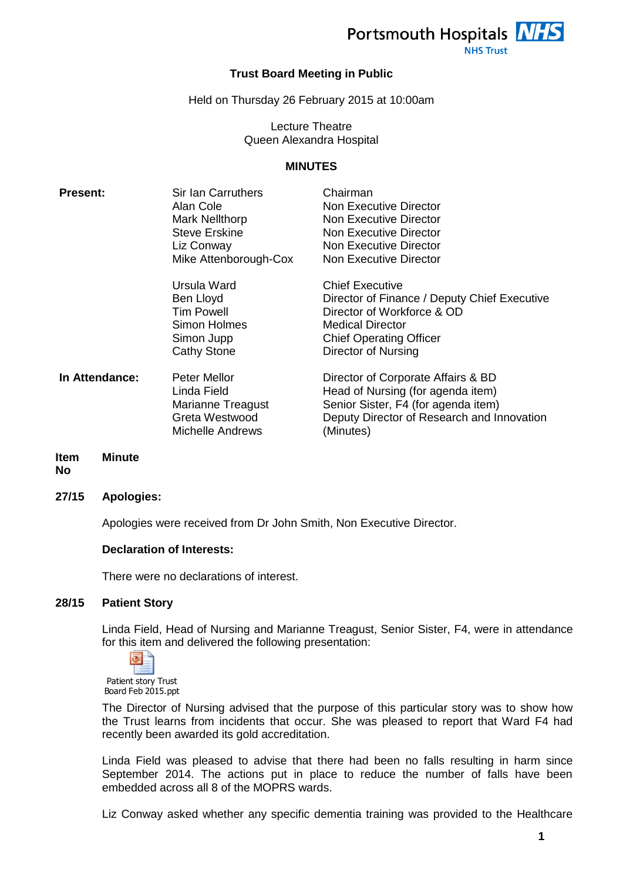

#### **Trust Board Meeting in Public**

#### Held on Thursday 26 February 2015 at 10:00am

#### Lecture Theatre Queen Alexandra Hospital

#### **MINUTES**

| <b>Present:</b> | Sir Ian Carruthers<br>Alan Cole<br>Mark Nellthorp<br><b>Steve Erskine</b><br>Liz Conway<br>Mike Attenborough-Cox | Chairman<br><b>Non Executive Director</b><br>Non Executive Director<br>Non Executive Director<br>Non Executive Director<br>Non Executive Director                                        |
|-----------------|------------------------------------------------------------------------------------------------------------------|------------------------------------------------------------------------------------------------------------------------------------------------------------------------------------------|
|                 | Ursula Ward<br>Ben Lloyd<br><b>Tim Powell</b><br>Simon Holmes<br>Simon Jupp<br><b>Cathy Stone</b>                | <b>Chief Executive</b><br>Director of Finance / Deputy Chief Executive<br>Director of Workforce & OD<br><b>Medical Director</b><br><b>Chief Operating Officer</b><br>Director of Nursing |
| In Attendance:  | Peter Mellor<br>Linda Field<br>Marianne Treagust<br>Greta Westwood<br><b>Michelle Andrews</b>                    | Director of Corporate Affairs & BD<br>Head of Nursing (for agenda item)<br>Senior Sister, F4 (for agenda item)<br>Deputy Director of Research and Innovation<br>(Minutes)                |

#### **Item Minute**

**No**

#### **27/15 Apologies:**

Apologies were received from Dr John Smith, Non Executive Director.

## **Declaration of Interests:**

There were no declarations of interest.

## **28/15 Patient Story**

Linda Field, Head of Nursing and Marianne Treagust, Senior Sister, F4, were in attendance for this item and delivered the following presentation:



Patient story Trust Board Feb 2015.ppt

The Director of Nursing advised that the purpose of this particular story was to show how the Trust learns from incidents that occur. She was pleased to report that Ward F4 had recently been awarded its gold accreditation.

Linda Field was pleased to advise that there had been no falls resulting in harm since September 2014. The actions put in place to reduce the number of falls have been embedded across all 8 of the MOPRS wards.

Liz Conway asked whether any specific dementia training was provided to the Healthcare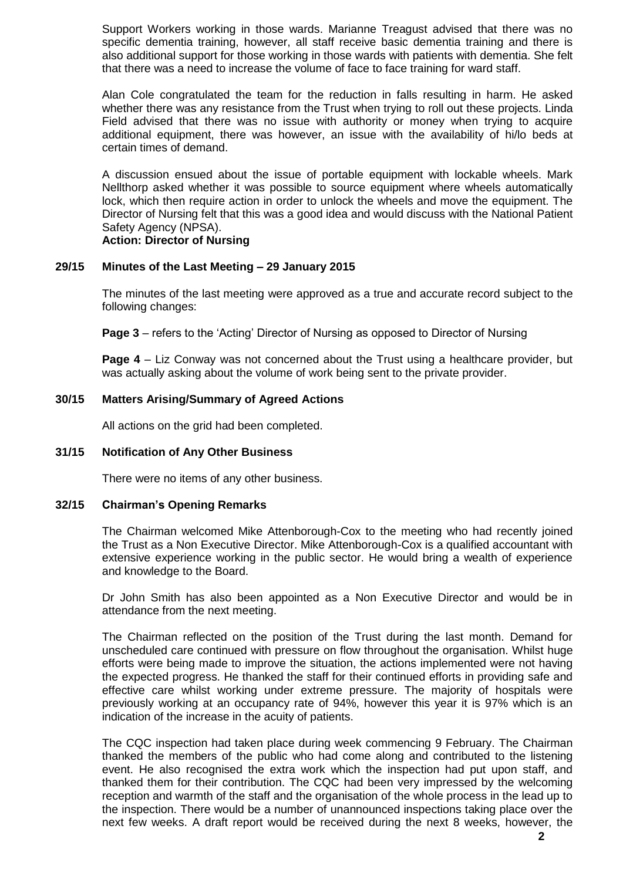Support Workers working in those wards. Marianne Treagust advised that there was no specific dementia training, however, all staff receive basic dementia training and there is also additional support for those working in those wards with patients with dementia. She felt that there was a need to increase the volume of face to face training for ward staff.

Alan Cole congratulated the team for the reduction in falls resulting in harm. He asked whether there was any resistance from the Trust when trying to roll out these projects. Linda Field advised that there was no issue with authority or money when trying to acquire additional equipment, there was however, an issue with the availability of hi/lo beds at certain times of demand.

A discussion ensued about the issue of portable equipment with lockable wheels. Mark Nellthorp asked whether it was possible to source equipment where wheels automatically lock, which then require action in order to unlock the wheels and move the equipment. The Director of Nursing felt that this was a good idea and would discuss with the National Patient Safety Agency (NPSA).

## **Action: Director of Nursing**

#### **29/15 Minutes of the Last Meeting – 29 January 2015**

The minutes of the last meeting were approved as a true and accurate record subject to the following changes:

**Page 3** – refers to the 'Acting' Director of Nursing as opposed to Director of Nursing

**Page 4** – Liz Conway was not concerned about the Trust using a healthcare provider, but was actually asking about the volume of work being sent to the private provider.

## **30/15 Matters Arising/Summary of Agreed Actions**

All actions on the grid had been completed.

#### **31/15 Notification of Any Other Business**

There were no items of any other business.

#### **32/15 Chairman's Opening Remarks**

The Chairman welcomed Mike Attenborough-Cox to the meeting who had recently joined the Trust as a Non Executive Director. Mike Attenborough-Cox is a qualified accountant with extensive experience working in the public sector. He would bring a wealth of experience and knowledge to the Board.

Dr John Smith has also been appointed as a Non Executive Director and would be in attendance from the next meeting.

The Chairman reflected on the position of the Trust during the last month. Demand for unscheduled care continued with pressure on flow throughout the organisation. Whilst huge efforts were being made to improve the situation, the actions implemented were not having the expected progress. He thanked the staff for their continued efforts in providing safe and effective care whilst working under extreme pressure. The majority of hospitals were previously working at an occupancy rate of 94%, however this year it is 97% which is an indication of the increase in the acuity of patients.

The CQC inspection had taken place during week commencing 9 February. The Chairman thanked the members of the public who had come along and contributed to the listening event. He also recognised the extra work which the inspection had put upon staff, and thanked them for their contribution. The CQC had been very impressed by the welcoming reception and warmth of the staff and the organisation of the whole process in the lead up to the inspection. There would be a number of unannounced inspections taking place over the next few weeks. A draft report would be received during the next 8 weeks, however, the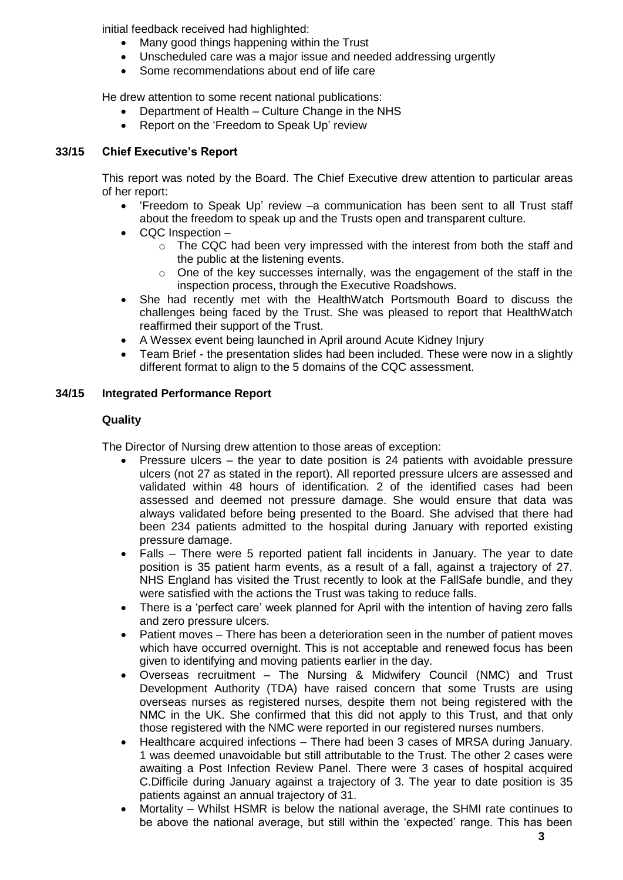initial feedback received had highlighted:

- Many good things happening within the Trust
- Unscheduled care was a major issue and needed addressing urgently
- Some recommendations about end of life care

He drew attention to some recent national publications:

- Department of Health Culture Change in the NHS
- Report on the 'Freedom to Speak Up' review

# **33/15 Chief Executive's Report**

This report was noted by the Board. The Chief Executive drew attention to particular areas of her report:

- 'Freedom to Speak Up' review –a communication has been sent to all Trust staff about the freedom to speak up and the Trusts open and transparent culture.
- CQC Inspection
	- $\circ$  The CQC had been very impressed with the interest from both the staff and the public at the listening events.
	- $\circ$  One of the key successes internally, was the engagement of the staff in the inspection process, through the Executive Roadshows.
- She had recently met with the HealthWatch Portsmouth Board to discuss the challenges being faced by the Trust. She was pleased to report that HealthWatch reaffirmed their support of the Trust.
- A Wessex event being launched in April around Acute Kidney Injury
- Team Brief the presentation slides had been included. These were now in a slightly different format to align to the 5 domains of the CQC assessment.

# **34/15 Integrated Performance Report**

# **Quality**

The Director of Nursing drew attention to those areas of exception:

- Pressure ulcers the year to date position is 24 patients with avoidable pressure ulcers (not 27 as stated in the report). All reported pressure ulcers are assessed and validated within 48 hours of identification. 2 of the identified cases had been assessed and deemed not pressure damage. She would ensure that data was always validated before being presented to the Board. She advised that there had been 234 patients admitted to the hospital during January with reported existing pressure damage.
- Falls There were 5 reported patient fall incidents in January. The year to date position is 35 patient harm events, as a result of a fall, against a trajectory of 27. NHS England has visited the Trust recently to look at the FallSafe bundle, and they were satisfied with the actions the Trust was taking to reduce falls.
- There is a 'perfect care' week planned for April with the intention of having zero falls and zero pressure ulcers.
- Patient moves There has been a deterioration seen in the number of patient moves which have occurred overnight. This is not acceptable and renewed focus has been given to identifying and moving patients earlier in the day.
- Overseas recruitment The Nursing & Midwifery Council (NMC) and Trust Development Authority (TDA) have raised concern that some Trusts are using overseas nurses as registered nurses, despite them not being registered with the NMC in the UK. She confirmed that this did not apply to this Trust, and that only those registered with the NMC were reported in our registered nurses numbers.
- Healthcare acquired infections There had been 3 cases of MRSA during January. 1 was deemed unavoidable but still attributable to the Trust. The other 2 cases were awaiting a Post Infection Review Panel. There were 3 cases of hospital acquired C.Difficile during January against a trajectory of 3. The year to date position is 35 patients against an annual trajectory of 31.
- Mortality Whilst HSMR is below the national average, the SHMI rate continues to be above the national average, but still within the 'expected' range. This has been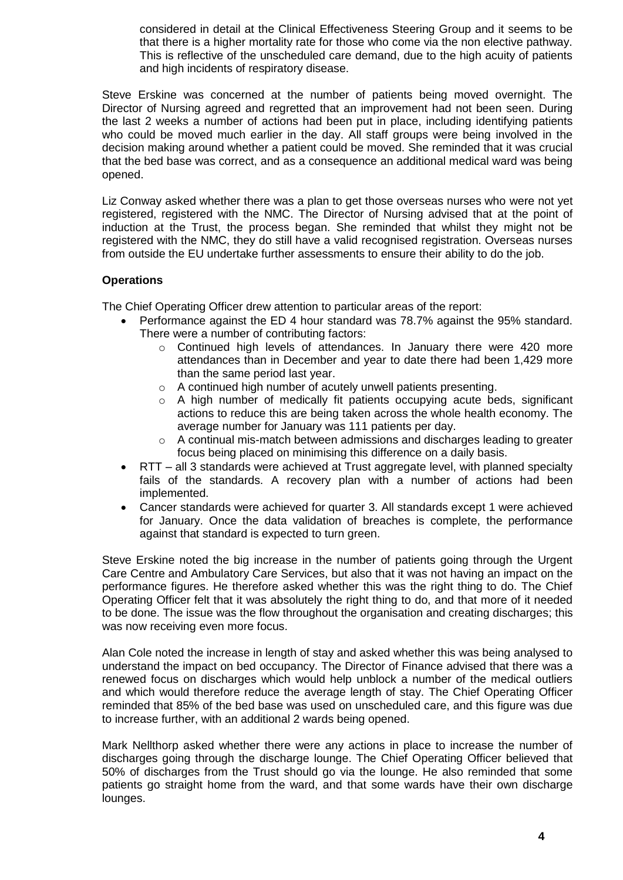considered in detail at the Clinical Effectiveness Steering Group and it seems to be that there is a higher mortality rate for those who come via the non elective pathway. This is reflective of the unscheduled care demand, due to the high acuity of patients and high incidents of respiratory disease.

Steve Erskine was concerned at the number of patients being moved overnight. The Director of Nursing agreed and regretted that an improvement had not been seen. During the last 2 weeks a number of actions had been put in place, including identifying patients who could be moved much earlier in the day. All staff groups were being involved in the decision making around whether a patient could be moved. She reminded that it was crucial that the bed base was correct, and as a consequence an additional medical ward was being opened.

Liz Conway asked whether there was a plan to get those overseas nurses who were not yet registered, registered with the NMC. The Director of Nursing advised that at the point of induction at the Trust, the process began. She reminded that whilst they might not be registered with the NMC, they do still have a valid recognised registration. Overseas nurses from outside the EU undertake further assessments to ensure their ability to do the job.

## **Operations**

The Chief Operating Officer drew attention to particular areas of the report:

- Performance against the ED 4 hour standard was 78.7% against the 95% standard. There were a number of contributing factors:
	- o Continued high levels of attendances. In January there were 420 more attendances than in December and year to date there had been 1,429 more than the same period last year.
	- o A continued high number of acutely unwell patients presenting.
	- o A high number of medically fit patients occupying acute beds, significant actions to reduce this are being taken across the whole health economy. The average number for January was 111 patients per day.
	- $\circ$  A continual mis-match between admissions and discharges leading to greater focus being placed on minimising this difference on a daily basis.
- RTT all 3 standards were achieved at Trust aggregate level, with planned specialty fails of the standards. A recovery plan with a number of actions had been implemented.
- Cancer standards were achieved for quarter 3. All standards except 1 were achieved for January. Once the data validation of breaches is complete, the performance against that standard is expected to turn green.

Steve Erskine noted the big increase in the number of patients going through the Urgent Care Centre and Ambulatory Care Services, but also that it was not having an impact on the performance figures. He therefore asked whether this was the right thing to do. The Chief Operating Officer felt that it was absolutely the right thing to do, and that more of it needed to be done. The issue was the flow throughout the organisation and creating discharges; this was now receiving even more focus.

Alan Cole noted the increase in length of stay and asked whether this was being analysed to understand the impact on bed occupancy. The Director of Finance advised that there was a renewed focus on discharges which would help unblock a number of the medical outliers and which would therefore reduce the average length of stay. The Chief Operating Officer reminded that 85% of the bed base was used on unscheduled care, and this figure was due to increase further, with an additional 2 wards being opened.

Mark Nellthorp asked whether there were any actions in place to increase the number of discharges going through the discharge lounge. The Chief Operating Officer believed that 50% of discharges from the Trust should go via the lounge. He also reminded that some patients go straight home from the ward, and that some wards have their own discharge lounges.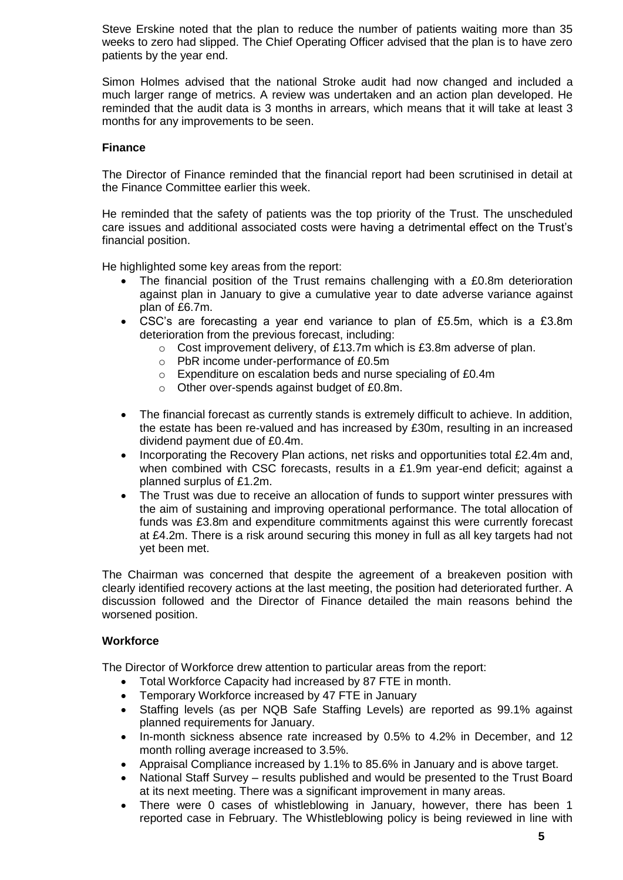Steve Erskine noted that the plan to reduce the number of patients waiting more than 35 weeks to zero had slipped. The Chief Operating Officer advised that the plan is to have zero patients by the year end.

Simon Holmes advised that the national Stroke audit had now changed and included a much larger range of metrics. A review was undertaken and an action plan developed. He reminded that the audit data is 3 months in arrears, which means that it will take at least 3 months for any improvements to be seen.

## **Finance**

The Director of Finance reminded that the financial report had been scrutinised in detail at the Finance Committee earlier this week.

He reminded that the safety of patients was the top priority of the Trust. The unscheduled care issues and additional associated costs were having a detrimental effect on the Trust's financial position.

He highlighted some key areas from the report:

- The financial position of the Trust remains challenging with a £0.8m deterioration against plan in January to give a cumulative year to date adverse variance against plan of £6.7m.
- CSC's are forecasting a year end variance to plan of £5.5m, which is a £3.8m deterioration from the previous forecast, including:
	- o Cost improvement delivery, of £13.7m which is £3.8m adverse of plan.
	- o PbR income under-performance of £0.5m
	- o Expenditure on escalation beds and nurse specialing of £0.4m
	- o Other over-spends against budget of £0.8m.
- The financial forecast as currently stands is extremely difficult to achieve. In addition, the estate has been re-valued and has increased by £30m, resulting in an increased dividend payment due of £0.4m.
- Incorporating the Recovery Plan actions, net risks and opportunities total £2.4m and, when combined with CSC forecasts, results in a £1.9m year-end deficit; against a planned surplus of £1.2m.
- The Trust was due to receive an allocation of funds to support winter pressures with the aim of sustaining and improving operational performance. The total allocation of funds was £3.8m and expenditure commitments against this were currently forecast at £4.2m. There is a risk around securing this money in full as all key targets had not yet been met.

The Chairman was concerned that despite the agreement of a breakeven position with clearly identified recovery actions at the last meeting, the position had deteriorated further. A discussion followed and the Director of Finance detailed the main reasons behind the worsened position.

## **Workforce**

The Director of Workforce drew attention to particular areas from the report:

- Total Workforce Capacity had increased by 87 FTE in month.
- Temporary Workforce increased by 47 FTE in January
- Staffing levels (as per NQB Safe Staffing Levels) are reported as 99.1% against planned requirements for January.
- In-month sickness absence rate increased by 0.5% to 4.2% in December, and 12 month rolling average increased to 3.5%.
- Appraisal Compliance increased by 1.1% to 85.6% in January and is above target.
- National Staff Survey results published and would be presented to the Trust Board at its next meeting. There was a significant improvement in many areas.
- There were 0 cases of whistleblowing in January, however, there has been 1 reported case in February. The Whistleblowing policy is being reviewed in line with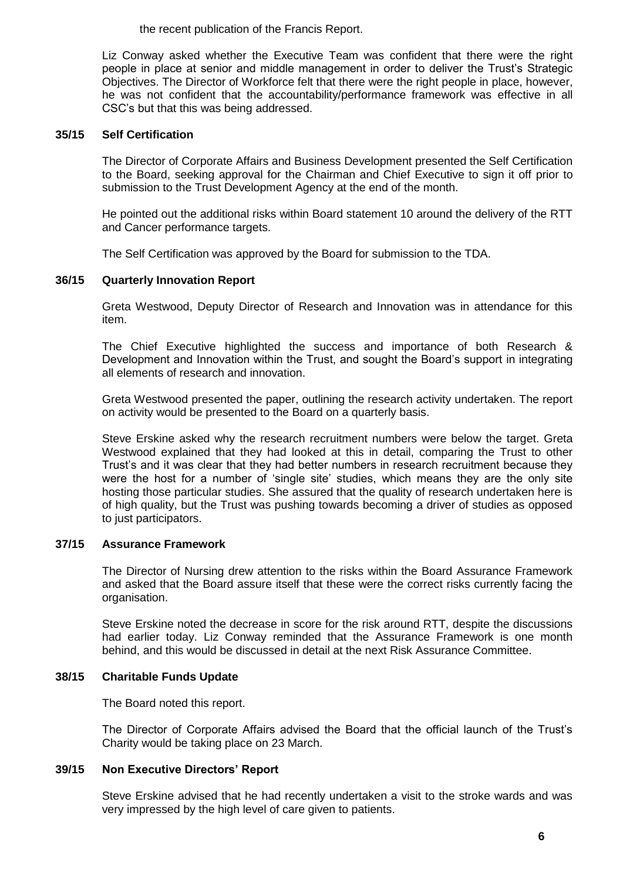the recent publication of the Francis Report.

Liz Conway asked whether the Executive Team was confident that there were the right people in place at senior and middle management in order to deliver the Trust's Strategic Objectives. The Director of Workforce felt that there were the right people in place, however, he was not confident that the accountability/performance framework was effective in all CSC's but that this was being addressed.

## **35/15 Self Certification**

The Director of Corporate Affairs and Business Development presented the Self Certification to the Board, seeking approval for the Chairman and Chief Executive to sign it off prior to submission to the Trust Development Agency at the end of the month.

He pointed out the additional risks within Board statement 10 around the delivery of the RTT and Cancer performance targets.

The Self Certification was approved by the Board for submission to the TDA.

# **36/15 Quarterly Innovation Report**

Greta Westwood, Deputy Director of Research and Innovation was in attendance for this item.

The Chief Executive highlighted the success and importance of both Research & Development and Innovation within the Trust, and sought the Board's support in integrating all elements of research and innovation.

Greta Westwood presented the paper, outlining the research activity undertaken. The report on activity would be presented to the Board on a quarterly basis.

Steve Erskine asked why the research recruitment numbers were below the target. Greta Westwood explained that they had looked at this in detail, comparing the Trust to other Trust's and it was clear that they had better numbers in research recruitment because they were the host for a number of 'single site' studies, which means they are the only site hosting those particular studies. She assured that the quality of research undertaken here is of high quality, but the Trust was pushing towards becoming a driver of studies as opposed to just participators.

## **37/15 Assurance Framework**

The Director of Nursing drew attention to the risks within the Board Assurance Framework and asked that the Board assure itself that these were the correct risks currently facing the organisation.

Steve Erskine noted the decrease in score for the risk around RTT, despite the discussions had earlier today. Liz Conway reminded that the Assurance Framework is one month behind, and this would be discussed in detail at the next Risk Assurance Committee.

## **38/15 Charitable Funds Update**

The Board noted this report.

The Director of Corporate Affairs advised the Board that the official launch of the Trust's Charity would be taking place on 23 March.

## **39/15 Non Executive Directors' Report**

Steve Erskine advised that he had recently undertaken a visit to the stroke wards and was very impressed by the high level of care given to patients.